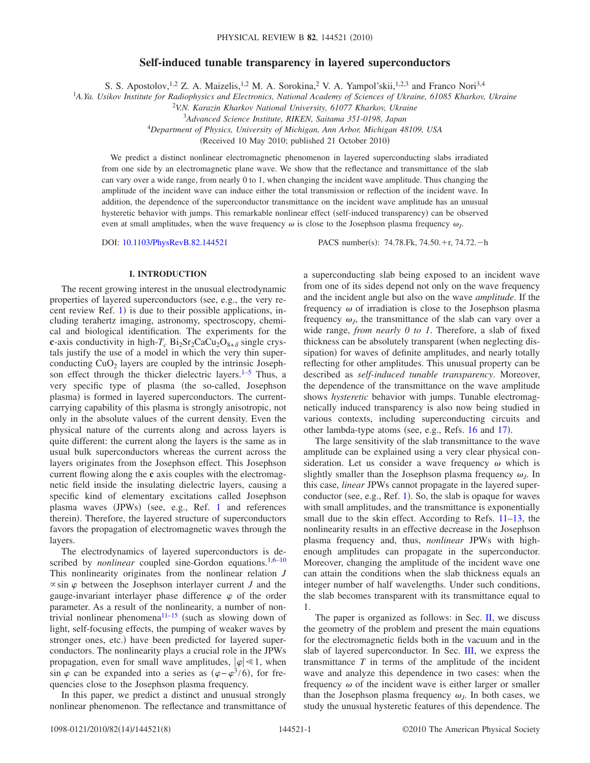# **Self-induced tunable transparency in layered superconductors**

S. S. Apostolov,<sup>1,2</sup> Z. A. Maizelis,<sup>1,2</sup> M. A. Sorokina,<sup>2</sup> V. A. Yampol'skii,<sup>1,2,3</sup> and Franco Nori<sup>3,4</sup>

1 *A.Ya. Usikov Institute for Radiophysics and Electronics, National Academy of Sciences of Ukraine, 61085 Kharkov, Ukraine*

<sup>2</sup>*V.N. Karazin Kharkov National University, 61077 Kharkov, Ukraine*

<sup>3</sup>*Advanced Science Institute, RIKEN, Saitama 351-0198, Japan*

4 *Department of Physics, University of Michigan, Ann Arbor, Michigan 48109, USA*

(Received 10 May 2010; published 21 October 2010)

We predict a distinct nonlinear electromagnetic phenomenon in layered superconducting slabs irradiated from one side by an electromagnetic plane wave. We show that the reflectance and transmittance of the slab can vary over a wide range, from nearly 0 to 1, when changing the incident wave amplitude. Thus changing the amplitude of the incident wave can induce either the total transmission or reflection of the incident wave. In addition, the dependence of the superconductor transmittance on the incident wave amplitude has an unusual hysteretic behavior with jumps. This remarkable nonlinear effect (self-induced transparency) can be observed even at small amplitudes, when the wave frequency  $\omega$  is close to the Josephson plasma frequency  $\omega$ .

DOI: [10.1103/PhysRevB.82.144521](http://dx.doi.org/10.1103/PhysRevB.82.144521)

 $: 74.78$ . Fk,  $74.50$ . + r,  $74.72$ . - h

## **I. INTRODUCTION**

The recent growing interest in the unusual electrodynamic properties of layered superconductors (see, e.g., the very recent review Ref.  $1$ ) is due to their possible applications, including terahertz imaging, astronomy, spectroscopy, chemical and biological identification. The experiments for the **c**-axis conductivity in high- $T_c$  Bi<sub>2</sub>Sr<sub>2</sub>CaCu<sub>2</sub>O<sub>8+ $\delta$ </sub> single crystals justify the use of a model in which the very thin superconducting  $CuO<sub>2</sub>$  layers are coupled by the intrinsic Josephson effect through the thicker dielectric layers. $1-5$  $1-5$  Thus, a very specific type of plasma (the so-called, Josephson plasma) is formed in layered superconductors. The currentcarrying capability of this plasma is strongly anisotropic, not only in the absolute values of the current density. Even the physical nature of the currents along and across layers is quite different: the current along the layers is the same as in usual bulk superconductors whereas the current across the layers originates from the Josephson effect. This Josephson current flowing along the **c** axis couples with the electromagnetic field inside the insulating dielectric layers, causing a specific kind of elementary excitations called Josephson plasma waves (JPWs) (see, e.g., Ref. [1](#page-7-0) and references therein). Therefore, the layered structure of superconductors favors the propagation of electromagnetic waves through the layers.

The electrodynamics of layered superconductors is described by *nonlinear* coupled sine-Gordon equations.<sup>1[,6](#page-7-2)[–10](#page-7-3)</sup> This nonlinearity originates from the nonlinear relation *J*  $\propto$  sin  $\varphi$  between the Josephson interlayer current *J* and the gauge-invariant interlayer phase difference  $\varphi$  of the order parameter. As a result of the nonlinearity, a number of non-trivial nonlinear phenomena<sup>11–[15](#page-7-5)</sup> (such as slowing down of light, self-focusing effects, the pumping of weaker waves by stronger ones, etc.) have been predicted for layered superconductors. The nonlinearity plays a crucial role in the JPWs propagation, even for small wave amplitudes,  $|\varphi| \ll 1$ , when sin  $\varphi$  can be expanded into a series as  $(\varphi - \varphi^3/6)$ , for frequencies close to the Josephson plasma frequency.

In this paper, we predict a distinct and unusual strongly nonlinear phenomenon. The reflectance and transmittance of a superconducting slab being exposed to an incident wave from one of its sides depend not only on the wave frequency and the incident angle but also on the wave *amplitude*. If the frequency  $\omega$  of irradiation is close to the Josephson plasma frequency  $\omega_l$ , the transmittance of the slab can vary over a wide range, *from nearly 0 to 1*. Therefore, a slab of fixed thickness can be absolutely transparent (when neglecting dissipation) for waves of definite amplitudes, and nearly totally reflecting for other amplitudes. This unusual property can be described as *self-induced tunable transparency*. Moreover, the dependence of the transmittance on the wave amplitude shows *hysteretic* behavior with jumps. Tunable electromagnetically induced transparency is also now being studied in various contexts, including superconducting circuits and other lambda-type atoms (see, e.g., Refs. [16](#page-7-6) and [17](#page-7-7)).

The large sensitivity of the slab transmittance to the wave amplitude can be explained using a very clear physical consideration. Let us consider a wave frequency  $\omega$  which is slightly smaller than the Josephson plasma frequency  $\omega_l$ . In this case, *linear* JPWs cannot propagate in the layered super-conductor (see, e.g., Ref. [1](#page-7-0)). So, the slab is opaque for waves with small amplitudes, and the transmittance is exponentially small due to the skin effect. According to Refs. [11](#page-7-4)[–13,](#page-7-8) the nonlinearity results in an effective decrease in the Josephson plasma frequency and, thus, *nonlinear* JPWs with highenough amplitudes can propagate in the superconductor. Moreover, changing the amplitude of the incident wave one can attain the conditions when the slab thickness equals an integer number of half wavelengths. Under such conditions, the slab becomes transparent with its transmittance equal to 1.

The paper is organized as follows: in Sec. [II,](#page-1-0) we discuss the geometry of the problem and present the main equations for the electromagnetic fields both in the vacuum and in the slab of layered superconductor. In Sec. [III,](#page-2-0) we express the transmittance *T* in terms of the amplitude of the incident wave and analyze this dependence in two cases: when the frequency  $\omega$  of the incident wave is either larger or smaller than the Josephson plasma frequency  $\omega_l$ . In both cases, we study the unusual hysteretic features of this dependence. The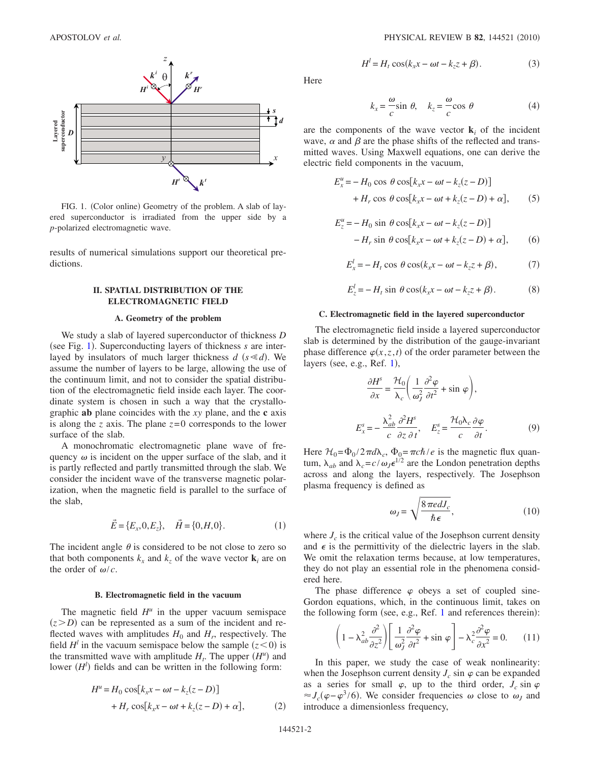<span id="page-1-1"></span>

FIG. 1. (Color online) Geometry of the problem. A slab of layered superconductor is irradiated from the upper side by a *p*-polarized electromagnetic wave.

<span id="page-1-0"></span>results of numerical simulations support our theoretical predictions.

# **II. SPATIAL DISTRIBUTION OF THE ELECTROMAGNETIC FIELD**

## **A. Geometry of the problem**

We study a slab of layered superconductor of thickness *D* (see Fig. [1](#page-1-1)). Superconducting layers of thickness *s* are interlayed by insulators of much larger thickness  $d$  ( $s \le d$ ). We assume the number of layers to be large, allowing the use of the continuum limit, and not to consider the spatial distribution of the electromagnetic field inside each layer. The coordinate system is chosen in such a way that the crystallographic **ab** plane coincides with the *xy* plane, and the **c** axis is along the *z* axis. The plane *z*=0 corresponds to the lower surface of the slab.

A monochromatic electromagnetic plane wave of frequency  $\omega$  is incident on the upper surface of the slab, and it is partly reflected and partly transmitted through the slab. We consider the incident wave of the transverse magnetic polarization, when the magnetic field is parallel to the surface of the slab,

$$
\vec{E} = \{E_x, 0, E_z\}, \quad \vec{H} = \{0, H, 0\}.
$$
 (1)

The incident angle  $\theta$  is considered to be not close to zero so that both components  $k_x$  and  $k_z$  of the wave vector  $\mathbf{k}_i$  are on the order of  $\omega/c$ .

#### **B. Electromagnetic field in the vacuum**

The magnetic field  $H^u$  in the upper vacuum semispace  $(z > D)$  can be represented as a sum of the incident and reflected waves with amplitudes  $H_0$  and  $H_r$ , respectively. The field  $H^l$  in the vacuum semispace below the sample  $(z<0)$  is the transmitted wave with amplitude  $H_t$ . The upper  $(H^u)$  and lower  $(H<sup>l</sup>)$  fields and can be written in the following form:

<span id="page-1-4"></span>
$$
H^u = H_0 \cos[k_x x - \omega t - k_z(z - D)]
$$
  
+ 
$$
H_r \cos[k_x x - \omega t + k_z(z - D) + \alpha],
$$
 (2)

$$
H^l = H_t \cos(k_x x - \omega t - k_z z + \beta). \tag{3}
$$

<span id="page-1-5"></span>Here

$$
k_x = -\frac{\omega}{c} \sin \theta, \quad k_z = -\frac{\omega}{c} \cos \theta \tag{4}
$$

are the components of the wave vector  $\mathbf{k}_i$  of the incident wave,  $\alpha$  and  $\beta$  are the phase shifts of the reflected and transmitted waves. Using Maxwell equations, one can derive the electric field components in the vacuum,

<span id="page-1-6"></span>
$$
E_x^u = -H_0 \cos \theta \cos[k_x x - \omega t - k_z(z - D)]
$$
  
+H<sub>r</sub> cos  $\theta$  cos[k<sub>x</sub>x - \omega t + k<sub>z</sub>(z - D) +  $\alpha$ ], (5)

<span id="page-1-7"></span>
$$
E_z^u = -H_0 \sin \theta \cos[k_x x - \omega t - k_z(z - D)]
$$
  
-
$$
-H_r \sin \theta \cos[k_x x - \omega t + k_z(z - D) + \alpha],
$$
 (6)

$$
E_x^l = -H_t \cos \theta \cos(k_x x - \omega t - k_z z + \beta), \tag{7}
$$

$$
E_z^l = -H_t \sin \theta \cos(k_x x - \omega t - k_z z + \beta). \tag{8}
$$

### **C. Electromagnetic field in the layered superconductor**

<span id="page-1-3"></span>The electromagnetic field inside a layered superconductor slab is determined by the distribution of the gauge-invariant phase difference  $\varphi(x, z, t)$  of the order parameter between the layers (see, e.g., Ref. [1](#page-7-0)),

$$
\frac{\partial H^s}{\partial x} = \frac{\mathcal{H}_0}{\lambda_c} \left( \frac{1}{\omega_f^2} \frac{\partial^2 \varphi}{\partial t^2} + \sin \varphi \right),
$$
  

$$
E_x^s = -\frac{\lambda_{ab}^2}{c} \frac{\partial^2 H^s}{\partial z \partial t}, \quad E_z^s = \frac{\mathcal{H}_0 \lambda_c}{c} \frac{\partial \varphi}{\partial t}.
$$
 (9)

Here  $H_0 = \Phi_0 / 2 \pi d\lambda_c$ ,  $\Phi_0 = \pi c \hbar / e$  is the magnetic flux quantum,  $\lambda_{ab}$  and  $\lambda_c = c/\omega_J \epsilon^{1/2}$  are the London penetration depths across and along the layers, respectively. The Josephson plasma frequency is defined as

$$
\omega_J = \sqrt{\frac{8 \pi e dJ_c}{\hbar \epsilon}},\tag{10}
$$

where  $J_c$  is the critical value of the Josephson current density and  $\epsilon$  is the permittivity of the dielectric layers in the slab. We omit the relaxation terms because, at low temperatures, they do not play an essential role in the phenomena considered here.

<span id="page-1-2"></span>The phase difference  $\varphi$  obeys a set of coupled sine-Gordon equations, which, in the continuous limit, takes on the following form (see, e.g., Ref. [1](#page-7-0) and references therein):

$$
\left(1 - \lambda_{ab}^2 \frac{\partial^2}{\partial z^2}\right) \left[ \frac{1}{\omega_J^2} \frac{\partial^2 \varphi}{\partial t^2} + \sin \varphi \right] - \lambda_c^2 \frac{\partial^2 \varphi}{\partial x^2} = 0. \quad (11)
$$

In this paper, we study the case of weak nonlinearity: when the Josephson current density  $J_c$  sin  $\varphi$  can be expanded as a series for small  $\varphi$ , up to the third order,  $J_c \sin \varphi$ ≈  $J_c(\varphi - \varphi^3/6)$ . We consider frequencies  $ω$  close to  $ω_j$  and introduce a dimensionless frequency,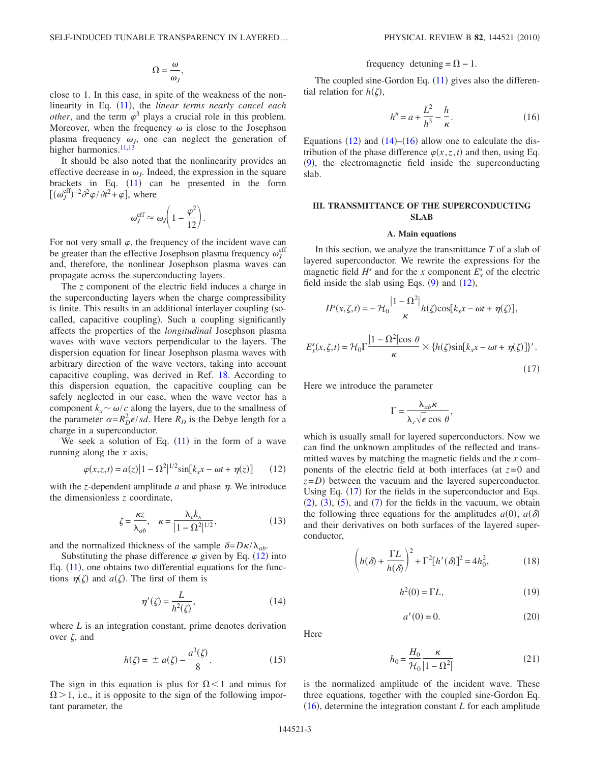$$
\Omega = \frac{\omega}{\omega_J},
$$

close to 1. In this case, in spite of the weakness of the non-linearity in Eq. ([11](#page-1-2)), the *linear terms nearly cancel each other*, and the term  $\varphi^3$  plays a crucial role in this problem. Moreover, when the frequency  $\omega$  is close to the Josephson plasma frequency  $\omega_j$ , one can neglect the generation of higher harmonics. $^{11,13}$  $^{11,13}$  $^{11,13}$ 

It should be also noted that the nonlinearity provides an effective decrease in  $\omega_l$ . Indeed, the expression in the square brackets in Eq.  $(11)$  $(11)$  $(11)$  can be presented in the form  $[(\omega_J^{\text{eff}})^{-2}\partial^2\varphi/\partial t^2+\varphi],$  where

$$
\omega_J^{\rm eff} \approx \omega_J \bigg( 1 - \frac{\varphi^2}{12} \bigg).
$$

For not very small  $\varphi$ , the frequency of the incident wave can be greater than the effective Josephson plasma frequency  $\omega_J^{\text{eff}}$ and, therefore, the nonlinear Josephson plasma waves can propagate across the superconducting layers.

The *z* component of the electric field induces a charge in the superconducting layers when the charge compressibility is finite. This results in an additional interlayer coupling (socalled, capacitive coupling). Such a coupling significantly affects the properties of the *longitudinal* Josephson plasma waves with wave vectors perpendicular to the layers. The dispersion equation for linear Josephson plasma waves with arbitrary direction of the wave vectors, taking into account capacitive coupling, was derived in Ref. [18.](#page-7-9) According to this dispersion equation, the capacitive coupling can be safely neglected in our case, when the wave vector has a component  $k_x \sim \omega/c$  along the layers, due to the smallness of the parameter  $\alpha = R_D^2 \epsilon / s d$ . Here  $R_D$  is the Debye length for a charge in a superconductor.

<span id="page-2-1"></span>We seek a solution of Eq.  $(11)$  $(11)$  $(11)$  in the form of a wave running along the *x* axis,

$$
\varphi(x, z, t) = a(z)\left|1 - \Omega^2\right|^{1/2} \sin[k_x x - \omega t + \eta(z)] \tag{12}
$$

<span id="page-2-9"></span>with the *z*-dependent amplitude  $a$  and phase  $\eta$ . We introduce the dimensionless *z* coordinate,

$$
\zeta = \frac{\kappa z}{\lambda_{ab}}, \quad \kappa = \frac{\lambda_c k_x}{|1 - \Omega^2|^{1/2}}, \tag{13}
$$

and the normalized thickness of the sample  $\delta = D \kappa / \lambda_{ab}$ .

<span id="page-2-2"></span>Substituting the phase difference  $\varphi$  given by Eq. ([12](#page-2-1)) into Eq.  $(11)$  $(11)$  $(11)$ , one obtains two differential equations for the functions  $\eta(\zeta)$  and  $a(\zeta)$ . The first of them is

$$
\eta'(\zeta) = \frac{L}{h^2(\zeta)},\tag{14}
$$

<span id="page-2-10"></span>where *L* is an integration constant, prime denotes derivation over  $\zeta$ , and

$$
h(\zeta) = \pm a(\zeta) - \frac{a^3(\zeta)}{8}.
$$
 (15)

The sign in this equation is plus for  $\Omega$  < 1 and minus for  $\Omega$  > 1, i.e., it is opposite to the sign of the following important parameter, the

# frequency detuning =  $\Omega$  – 1.

<span id="page-2-3"></span>The coupled sine-Gordon Eq.  $(11)$  $(11)$  $(11)$  gives also the differential relation for  $h(\zeta)$ ,

$$
h'' = a + \frac{L^2}{h^3} - \frac{h}{\kappa}.
$$
 (16)

Equations  $(12)$  $(12)$  $(12)$  and  $(14)$  $(14)$  $(14)$ – $(16)$  $(16)$  $(16)$  allow one to calculate the distribution of the phase difference  $\varphi(x, z, t)$  and then, using Eq. ([9](#page-1-3)), the electromagnetic field inside the superconducting slab.

# <span id="page-2-0"></span>**III. TRANSMITTANCE OF THE SUPERCONDUCTING SLAB**

### **A. Main equations**

In this section, we analyze the transmittance *T* of a slab of layered superconductor. We rewrite the expressions for the magnetic field  $H^s$  and for the *x* component  $E_x^s$  of the electric field inside the slab using Eqs.  $(9)$  $(9)$  $(9)$  and  $(12)$  $(12)$  $(12)$ ,

<span id="page-2-4"></span>
$$
H^{s}(x, \zeta, t) = -\mathcal{H}_{0} \frac{|1 - \Omega^{2}|}{\kappa} h(\zeta) \cos[k_{x}x - \omega t + \eta(\zeta)],
$$
  

$$
E_{x}^{s}(x, \zeta, t) = \mathcal{H}_{0} \Gamma \frac{|1 - \Omega^{2}| \cos \theta}{\kappa} \times \{h(\zeta) \sin[k_{x}x - \omega t + \eta(\zeta)]\}'.
$$

Here we introduce the parameter

$$
\Gamma = \frac{\lambda_{ab}\kappa}{\lambda_c\sqrt{\epsilon}\cos\theta},
$$

which is usually small for layered superconductors. Now we can find the unknown amplitudes of the reflected and transmitted waves by matching the magnetic fields and the *x* components of the electric field at both interfaces (at  $z=0$  and  $z = D$ ) between the vacuum and the layered superconductor. Using Eq. ([17](#page-2-4)) for the fields in the superconductor and Eqs.  $(2)$  $(2)$  $(2)$ ,  $(3)$  $(3)$  $(3)$ ,  $(5)$  $(5)$  $(5)$ , and  $(7)$  $(7)$  $(7)$  for the fields in the vacuum, we obtain the following three equations for the amplitudes  $a(0)$ ,  $a(\delta)$ and their derivatives on both surfaces of the layered superconductor,

<span id="page-2-6"></span><span id="page-2-5"></span>
$$
\left(h(\delta) + \frac{\Gamma L}{h(\delta)}\right)^2 + \Gamma^2[h'(\delta)]^2 = 4h_0^2,
$$
\n(18)

$$
h^2(0) = \Gamma L,\tag{19}
$$

 $(17)$ 

$$
a'(0) = 0.\tag{20}
$$

<span id="page-2-8"></span><span id="page-2-7"></span>Here

$$
h_0 = \frac{H_0}{\mathcal{H}_0} \frac{\kappa}{|1 - \Omega^2|} \tag{21}
$$

is the normalized amplitude of the incident wave. These three equations, together with the coupled sine-Gordon Eq.  $(16)$  $(16)$  $(16)$ , determine the integration constant *L* for each amplitude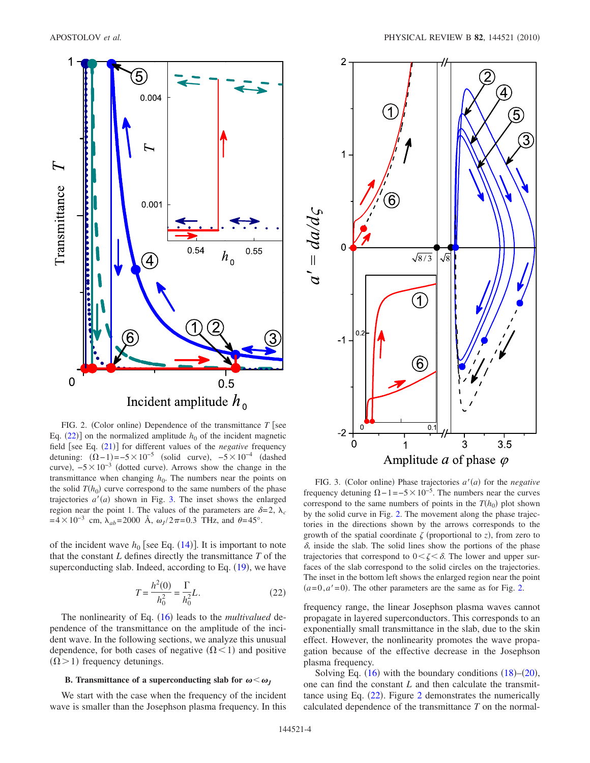<span id="page-3-1"></span>

FIG. 2. (Color online) Dependence of the transmittance  $T$  [see Eq.  $(22)$  $(22)$  $(22)$ ] on the normalized amplitude  $h_0$  of the incident magnetic field [see Eq. ([21](#page-2-8))] for different values of the *negative* frequency detuning:  $(\Omega - 1) = -5 \times 10^{-5}$  (solid curve),  $-5 \times 10^{-4}$  (dashed curve),  $-5 \times 10^{-3}$  (dotted curve). Arrows show the change in the transmittance when changing  $h_0$ . The numbers near the points on the solid  $T(h_0)$  curve correspond to the same numbers of the phase trajectories  $a'(a)$  shown in Fig. [3.](#page-3-2) The inset shows the enlarged region near the point 1. The values of the parameters are  $\delta = 2$ ,  $\lambda_c$  $=4\times10^{-3}$  cm,  $\lambda_{ab}=2000$  Å,  $\omega_J/2\pi=0.3$  THz, and  $\theta=45^\circ$ .

<span id="page-3-0"></span>of the incident wave  $h_0$  [see Eq.  $(14)$  $(14)$  $(14)$ ]. It is important to note that the constant *L* defines directly the transmittance *T* of the superconducting slab. Indeed, according to Eq.  $(19)$  $(19)$  $(19)$ , we have

$$
T = \frac{h^2(0)}{h_0^2} = \frac{\Gamma}{h_0^2} L.
$$
 (22)

The nonlinearity of Eq. ([16](#page-2-3)) leads to the *multivalued* dependence of the transmittance on the amplitude of the incident wave. In the following sections, we analyze this unusual dependence, for both cases of negative  $(\Omega < 1)$  and positive  $(\Omega > 1)$  frequency detunings.

## **B.** Transmittance of a superconducting slab for  $\omega < \omega_j$

We start with the case when the frequency of the incident wave is smaller than the Josephson plasma frequency. In this

<span id="page-3-2"></span>

FIG. 3. (Color online) Phase trajectories  $a'(a)$  for the *negative* frequency detuning  $\Omega$  – 1=−5 × 10<sup>-5</sup>. The numbers near the curves correspond to the same numbers of points in the  $T(h_0)$  plot shown by the solid curve in Fig. [2.](#page-3-1) The movement along the phase trajectories in the directions shown by the arrows corresponds to the growth of the spatial coordinate  $\zeta$  (proportional to *z*), from zero to  $\delta$ , inside the slab. The solid lines show the portions of the phase trajectories that correspond to  $0 < \zeta < \delta$ . The lower and upper surfaces of the slab correspond to the solid circles on the trajectories. The inset in the bottom left shows the enlarged region near the point  $(a=0, a'=0)$ . The other parameters are the same as for Fig. [2.](#page-3-1)

frequency range, the linear Josephson plasma waves cannot propagate in layered superconductors. This corresponds to an exponentially small transmittance in the slab, due to the skin effect. However, the nonlinearity promotes the wave propagation because of the effective decrease in the Josephson plasma frequency.

Solving Eq.  $(16)$  $(16)$  $(16)$  with the boundary conditions  $(18)$  $(18)$  $(18)$ – $(20)$  $(20)$  $(20)$ , one can find the constant *L* and then calculate the transmittance using Eq.  $(22)$  $(22)$  $(22)$ . Figure [2](#page-3-1) demonstrates the numerically calculated dependence of the transmittance *T* on the normal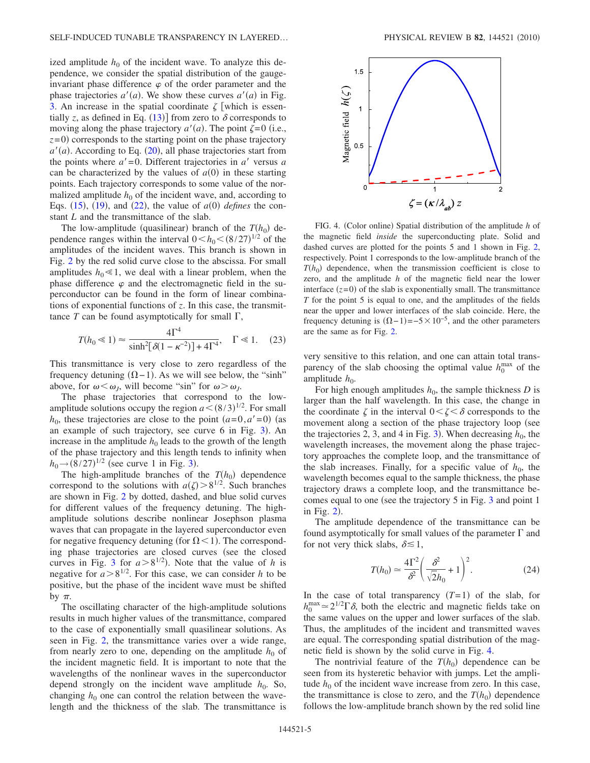ized amplitude  $h_0$  of the incident wave. To analyze this dependence, we consider the spatial distribution of the gaugeinvariant phase difference  $\varphi$  of the order parameter and the phase trajectories  $a'(a)$ . We show these curves  $a'(a)$  in Fig. [3.](#page-3-2) An increase in the spatial coordinate  $\zeta$  which is essentially *z*, as defined in Eq. ([13](#page-2-9))] from zero to  $\delta$  corresponds to moving along the phase trajectory  $a'(a)$ . The point  $\zeta = 0$  (i.e.,  $z=0$ ) corresponds to the starting point on the phase trajectory  $a'(a)$ . According to Eq. ([20](#page-2-7)), all phase trajectories start from the points where  $a' = 0$ . Different trajectories in  $a'$  versus  $a$ can be characterized by the values of  $a(0)$  in these starting points. Each trajectory corresponds to some value of the normalized amplitude  $h_0$  of the incident wave, and, according to Eqs.  $(15)$  $(15)$  $(15)$ ,  $(19)$  $(19)$  $(19)$ , and  $(22)$  $(22)$  $(22)$ , the value of  $a(0)$  defines the constant *L* and the transmittance of the slab.

The low-amplitude (quasilinear) branch of the  $T(h_0)$  dependence ranges within the interval  $0 < h_0 < (8/27)^{1/2}$  of the amplitudes of the incident waves. This branch is shown in Fig. [2](#page-3-1) by the red solid curve close to the abscissa. For small amplitudes  $h_0 \ll 1$ , we deal with a linear problem, when the phase difference  $\varphi$  and the electromagnetic field in the superconductor can be found in the form of linear combinations of exponential functions of *z*. In this case, the transmittance  $T$  can be found asymptotically for small  $\Gamma$ ,

<span id="page-4-1"></span>
$$
T(h_0 \ll 1) \approx \frac{4\Gamma^4}{\sinh^2[\delta(1 - \kappa^{-2})] + 4\Gamma^4}, \quad \Gamma \ll 1. \quad (23)
$$

This transmittance is very close to zero regardless of the frequency detuning  $(\Omega - 1)$ . As we will see below, the "sinh" above, for  $\omega < \omega_J$ , will become "sin" for  $\omega > \omega_J$ .

The phase trajectories that correspond to the lowamplitude solutions occupy the region  $a < (8/3)^{1/2}$ . For small  $h_0$ , these trajectories are close to the point  $(a=0, a'=0)$  (as an example of such trajectory, see curve 6 in Fig. [3](#page-3-2)). An increase in the amplitude  $h_0$  leads to the growth of the length of the phase trajectory and this length tends to infinity when  $h_0 \rightarrow (8/27)^{1/2}$  (see curve 1 in Fig. [3](#page-3-2)).

The high-amplitude branches of the  $T(h_0)$  dependence correspond to the solutions with  $a(\zeta) > 8^{1/2}$ . Such branches are shown in Fig. [2](#page-3-1) by dotted, dashed, and blue solid curves for different values of the frequency detuning. The highamplitude solutions describe nonlinear Josephson plasma waves that can propagate in the layered superconductor even for negative frequency detuning (for  $\Omega$  < 1). The corresponding phase trajectories are closed curves (see the closed curves in Fig. [3](#page-3-2) for  $a > 8^{1/2}$ ). Note that the value of *h* is negative for  $a > 8^{1/2}$ . For this case, we can consider *h* to be positive, but the phase of the incident wave must be shifted by  $\pi$ .

The oscillating character of the high-amplitude solutions results in much higher values of the transmittance, compared to the case of exponentially small quasilinear solutions. As seen in Fig. [2,](#page-3-1) the transmittance varies over a wide range, from nearly zero to one, depending on the amplitude  $h_0$  of the incident magnetic field. It is important to note that the wavelengths of the nonlinear waves in the superconductor depend strongly on the incident wave amplitude  $h_0$ . So, changing  $h_0$  one can control the relation between the wavelength and the thickness of the slab. The transmittance is

<span id="page-4-0"></span>

FIG. 4. (Color online) Spatial distribution of the amplitude *h* of the magnetic field *inside* the superconducting plate. Solid and dashed curves are plotted for the points 5 and 1 shown in Fig. [2,](#page-3-1) respectively. Point 1 corresponds to the low-amplitude branch of the  $T(h_0)$  dependence, when the transmission coefficient is close to zero, and the amplitude *h* of the magnetic field near the lower interface  $(z=0)$  of the slab is exponentially small. The transmittance *T* for the point 5 is equal to one, and the amplitudes of the fields near the upper and lower interfaces of the slab coincide. Here, the frequency detuning is  $(\Omega - 1) = -5 \times 10^{-5}$ , and the other parameters are the same as for Fig. [2.](#page-3-1)

very sensitive to this relation, and one can attain total transparency of the slab choosing the optimal value  $h_0^{\text{max}}$  of the amplitude  $h_0$ .

For high enough amplitudes  $h_0$ , the sample thickness  $D$  is larger than the half wavelength. In this case, the change in the coordinate  $\zeta$  in the interval  $0 < \zeta < \delta$  corresponds to the movement along a section of the phase trajectory loop (see the trajectories 2, [3](#page-3-2), and 4 in Fig. 3). When decreasing  $h_0$ , the wavelength increases, the movement along the phase trajectory approaches the complete loop, and the transmittance of the slab increases. Finally, for a specific value of  $h_0$ , the wavelength becomes equal to the sample thickness, the phase trajectory draws a complete loop, and the transmittance becomes equal to one (see the trajectory  $5$  in Fig. [3](#page-3-2) and point 1 in Fig.  $2$ ).

The amplitude dependence of the transmittance can be found asymptotically for small values of the parameter  $\Gamma$  and for not very thick slabs,  $\delta \lesssim 1$ ,

$$
T(h_0) \simeq \frac{4\Gamma^2}{\delta^2} \left(\frac{\delta^2}{\sqrt{2}h_0} + 1\right)^2.
$$
 (24)

In the case of total transparency  $(T=1)$  of the slab, for  $h_0^{\text{max}} \approx 2^{1/2} \Gamma \delta$ , both the electric and magnetic fields take on the same values on the upper and lower surfaces of the slab. Thus, the amplitudes of the incident and transmitted waves are equal. The corresponding spatial distribution of the magnetic field is shown by the solid curve in Fig. [4.](#page-4-0)

The nontrivial feature of the  $T(h_0)$  dependence can be seen from its hysteretic behavior with jumps. Let the amplitude  $h_0$  of the incident wave increase from zero. In this case, the transmittance is close to zero, and the  $T(h_0)$  dependence follows the low-amplitude branch shown by the red solid line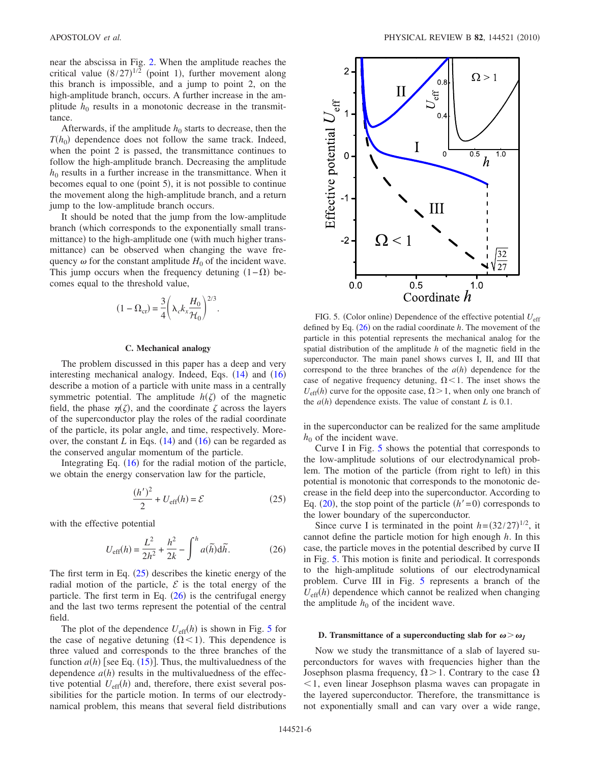near the abscissa in Fig. [2.](#page-3-1) When the amplitude reaches the critical value  $(8/27)^{1/2}$  (point 1), further movement along this branch is impossible, and a jump to point 2, on the high-amplitude branch, occurs. A further increase in the amplitude  $h_0$  results in a monotonic decrease in the transmittance.

Afterwards, if the amplitude  $h_0$  starts to decrease, then the  $T(h_0)$  dependence does not follow the same track. Indeed, when the point 2 is passed, the transmittance continues to follow the high-amplitude branch. Decreasing the amplitude  $h_0$  results in a further increase in the transmittance. When it becomes equal to one (point 5), it is not possible to continue the movement along the high-amplitude branch, and a return jump to the low-amplitude branch occurs.

It should be noted that the jump from the low-amplitude branch (which corresponds to the exponentially small transmittance) to the high-amplitude one (with much higher transmittance) can be observed when changing the wave frequency  $\omega$  for the constant amplitude  $H_0$  of the incident wave. This jump occurs when the frequency detuning  $(1 - \Omega)$  becomes equal to the threshold value,

$$
(1 - \Omega_{cr}) = \frac{3}{4} \left( \lambda_c k_x \frac{H_0}{\mathcal{H}_0} \right)^{2/3}.
$$

## **C. Mechanical analogy**

The problem discussed in this paper has a deep and very interesting mechanical analogy. Indeed, Eqs.  $(14)$  $(14)$  $(14)$  and  $(16)$  $(16)$  $(16)$ describe a motion of a particle with unite mass in a centrally symmetric potential. The amplitude  $h(\zeta)$  of the magnetic field, the phase  $\eta(\zeta)$ , and the coordinate  $\zeta$  across the layers of the superconductor play the roles of the radial coordinate of the particle, its polar angle, and time, respectively. Moreover, the constant  $L$  in Eqs.  $(14)$  $(14)$  $(14)$  and  $(16)$  $(16)$  $(16)$  can be regarded as the conserved angular momentum of the particle.

<span id="page-5-0"></span>Integrating Eq.  $(16)$  $(16)$  $(16)$  for the radial motion of the particle, we obtain the energy conservation law for the particle,

$$
\frac{(h')^2}{2} + U_{\text{eff}}(h) = \mathcal{E}
$$
 (25)

<span id="page-5-1"></span>with the effective potential

$$
U_{\text{eff}}(h) = \frac{L^2}{2h^2} + \frac{h^2}{2k} - \int^h a(\tilde{h}) \, \mathrm{d}\tilde{h}.\tag{26}
$$

The first term in Eq.  $(25)$  $(25)$  $(25)$  describes the kinetic energy of the radial motion of the particle,  $\mathcal E$  is the total energy of the particle. The first term in Eq.  $(26)$  $(26)$  $(26)$  is the centrifugal energy and the last two terms represent the potential of the central field.

The plot of the dependence  $U_{\text{eff}}(h)$  is shown in Fig. [5](#page-5-2) for the case of negative detuning  $(\Omega < 1)$ . This dependence is three valued and corresponds to the three branches of the function  $a(h)$  [see Eq.  $(15)$  $(15)$  $(15)$ ]. Thus, the multivaluedness of the dependence  $a(h)$  results in the multivaluedness of the effective potential  $U_{\text{eff}}(h)$  and, therefore, there exist several possibilities for the particle motion. In terms of our electrodynamical problem, this means that several field distributions

<span id="page-5-2"></span>

FIG. 5. (Color online) Dependence of the effective potential  $U_{\text{eff}}$ defined by Eq.  $(26)$  $(26)$  $(26)$  on the radial coordinate  $h$ . The movement of the particle in this potential represents the mechanical analog for the spatial distribution of the amplitude *h* of the magnetic field in the superconductor. The main panel shows curves I, II, and III that correspond to the three branches of the  $a(h)$  dependence for the case of negative frequency detuning,  $\Omega$  < 1. The inset shows the  $U_{\text{eff}}(h)$  curve for the opposite case,  $\Omega > 1$ , when only one branch of the  $a(h)$  dependence exists. The value of constant *L* is 0.1.

in the superconductor can be realized for the same amplitude  $h_0$  of the incident wave.

Curve I in Fig. [5](#page-5-2) shows the potential that corresponds to the low-amplitude solutions of our electrodynamical problem. The motion of the particle (from right to left) in this potential is monotonic that corresponds to the monotonic decrease in the field deep into the superconductor. According to Eq.  $(20)$  $(20)$  $(20)$ , the stop point of the particle  $(h'=0)$  corresponds to the lower boundary of the superconductor.

Since curve I is terminated in the point  $h = (32/27)^{1/2}$ , it cannot define the particle motion for high enough *h*. In this case, the particle moves in the potential described by curve II in Fig. [5.](#page-5-2) This motion is finite and periodical. It corresponds to the high-amplitude solutions of our electrodynamical problem. Curve III in Fig. [5](#page-5-2) represents a branch of the  $U_{\text{eff}}(h)$  dependence which cannot be realized when changing the amplitude  $h_0$  of the incident wave.

### **D.** Transmittance of a superconducting slab for  $\omega > \omega_I$

Now we study the transmittance of a slab of layered superconductors for waves with frequencies higher than the Josephson plasma frequency,  $\Omega$  > 1. Contrary to the case  $\Omega$  1, even linear Josephson plasma waves can propagate in the layered superconductor. Therefore, the transmittance is not exponentially small and can vary over a wide range,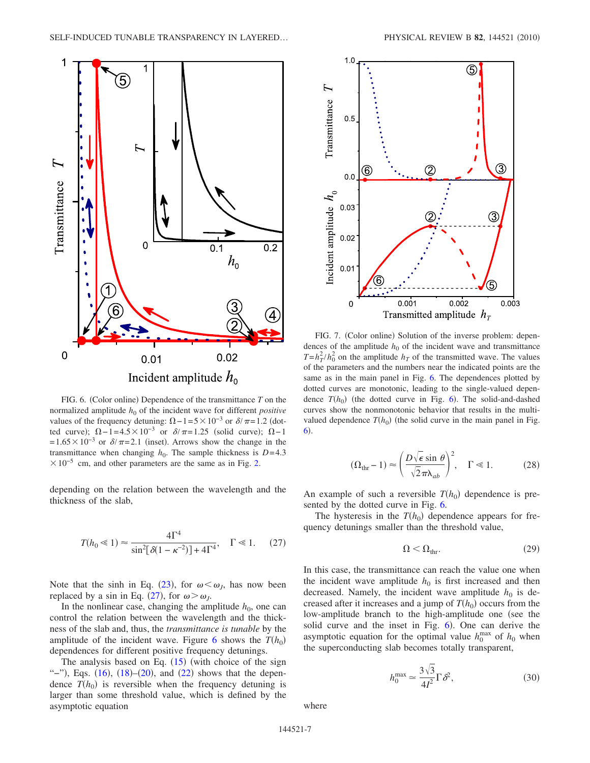<span id="page-6-1"></span>

FIG. 6. (Color online) Dependence of the transmittance  $T$  on the normalized amplitude  $h_0$  of the incident wave for different *positive* values of the frequency detuning:  $\Omega - 1 = 5 \times 10^{-3}$  or  $\delta / \pi = 1.2$  (dotted curve);  $\Omega - 1 = 4.5 \times 10^{-3}$  or  $\delta / \pi = 1.25$  (solid curve);  $\Omega - 1$  $=1.65\times10^{-3}$  or  $\delta/\pi=2.1$  (inset). Arrows show the change in the transmittance when changing  $h_0$ . The sample thickness is  $D=4.3$  $\times$ 10<sup>-5</sup> cm, and other parameters are the same as in Fig. [2.](#page-3-1)

<span id="page-6-0"></span>depending on the relation between the wavelength and the thickness of the slab,

$$
T(h_0 \ll 1) \approx \frac{4\Gamma^4}{\sin^2[\delta(1 - \kappa^{-2})] + 4\Gamma^4}, \quad \Gamma \ll 1. \tag{27}
$$

Note that the sinh in Eq. ([23](#page-4-1)), for  $\omega < \omega_J$ , has now been replaced by a sin in Eq. ([27](#page-6-0)), for  $\omega > \omega_J$ .

In the nonlinear case, changing the amplitude  $h_0$ , one can control the relation between the wavelength and the thickness of the slab and, thus, the *transmittance is tunable* by the amplitude of the incident wave. Figure [6](#page-6-1) shows the  $T(h_0)$ dependences for different positive frequency detunings.

The analysis based on Eq.  $(15)$  $(15)$  $(15)$  (with choice of the sign "-"), Eqs.  $(16)$  $(16)$  $(16)$ ,  $(18)$  $(18)$  $(18)$ - $(20)$  $(20)$  $(20)$ , and  $(22)$  $(22)$  $(22)$  shows that the dependence  $T(h_0)$  is reversible when the frequency detuning is larger than some threshold value, which is defined by the asymptotic equation

<span id="page-6-2"></span>

FIG. 7. (Color online) Solution of the inverse problem: dependences of the amplitude  $h_0$  of the incident wave and transmittance  $T = h_T^2 / h_0^2$  on the amplitude  $h_T$  of the transmitted wave. The values of the parameters and the numbers near the indicated points are the same as in the main panel in Fig. [6.](#page-6-1) The dependences plotted by dotted curves are monotonic, leading to the single-valued dependence  $T(h_0)$  (the dotted curve in Fig. [6](#page-6-1)). The solid-and-dashed curves show the nonmonotonic behavior that results in the multivalued dependence  $T(h_0)$  (the solid curve in the main panel in Fig.  $\boldsymbol{6}$  $\boldsymbol{6}$  $\boldsymbol{6}$ ).

$$
(\Omega_{\text{thr}} - 1) \approx \left(\frac{D\sqrt{\epsilon}\sin\theta}{\sqrt{2}\pi\lambda_{ab}}\right)^2, \quad \Gamma \ll 1.
$$
 (28)

An example of such a reversible  $T(h_0)$  dependence is presented by the dotted curve in Fig. [6.](#page-6-1)

<span id="page-6-3"></span>The hysteresis in the  $T(h_0)$  dependence appears for frequency detunings smaller than the threshold value,

$$
\Omega < \Omega_{\text{thr}}.\tag{29}
$$

In this case, the transmittance can reach the value one when the incident wave amplitude  $h_0$  is first increased and then decreased. Namely, the incident wave amplitude  $h_0$  is decreased after it increases and a jump of  $T(h_0)$  occurs from the low-amplitude branch to the high-amplitude one (see the solid curve and the inset in Fig. [6](#page-6-1)). One can derive the asymptotic equation for the optimal value  $h_0^{\text{max}}$  of  $h_0$  when the superconducting slab becomes totally transparent,

$$
h_0^{\max} \simeq \frac{3\sqrt{3}}{4I^2} \Gamma \delta^2, \tag{30}
$$

where